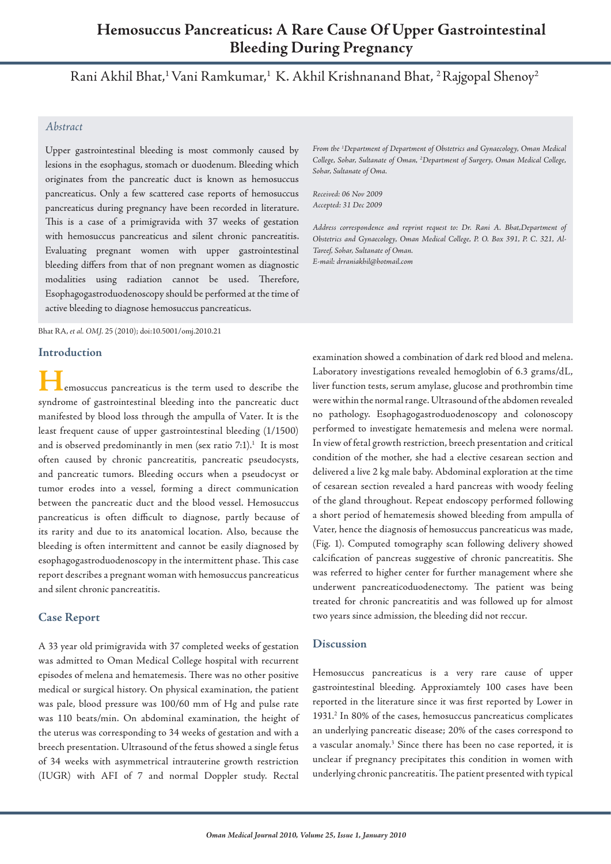# **Hemosuccus Pancreaticus: A Rare Cause Of Upper Gastrointestinal Bleeding During Pregnancy**

Rani Akhil Bhat, 1 Vani Ramkumar, 1 K. Akhil Krishnanand Bhat, 2 Rajgopal Shenoy2

### *Abstract*

Upper gastrointestinal bleeding is most commonly caused by lesions in the esophagus, stomach or duodenum. Bleeding which originates from the pancreatic duct is known as hemosuccus pancreaticus. Only a few scattered case reports of hemosuccus pancreaticus during pregnancy have been recorded in literature. This is a case of a primigravida with 37 weeks of gestation with hemosuccus pancreaticus and silent chronic pancreatitis. Evaluating pregnant women with upper gastrointestinal bleeding differs from that of non pregnant women as diagnostic modalities using radiation cannot be used. Therefore, Esophagogastroduodenoscopy should be performed at the time of active bleeding to diagnose hemosuccus pancreaticus.

Bhat RA, *et al. OMJ.* 25 (2010); doi:10.5001/omj.2010.21

#### **Introduction**

**H**emosuccus pancreaticus is the term used to describe the syndrome of gastrointestinal bleeding into the pancreatic duct manifested by blood loss through the ampulla of Vater. It is the least frequent cause of upper gastrointestinal bleeding (1/1500) and is observed predominantly in men (sex ratio  $7:1$ ).<sup>1</sup> It is most often caused by chronic pancreatitis, pancreatic pseudocysts, and pancreatic tumors. Bleeding occurs when a pseudocyst or tumor erodes into a vessel, forming a direct communication between the pancreatic duct and the blood vessel. Hemosuccus pancreaticus is often difficult to diagnose, partly because of its rarity and due to its anatomical location. Also, because the bleeding is often intermittent and cannot be easily diagnosed by esophagogastroduodenoscopy in the intermittent phase. This case report describes a pregnant woman with hemosuccus pancreaticus and silent chronic pancreatitis.

#### **Case Report**

A 33 year old primigravida with 37 completed weeks of gestation was admitted to Oman Medical College hospital with recurrent episodes of melena and hematemesis. There was no other positive medical or surgical history. On physical examination, the patient was pale, blood pressure was 100/60 mm of Hg and pulse rate was 110 beats/min. On abdominal examination, the height of the uterus was corresponding to 34 weeks of gestation and with a breech presentation. Ultrasound of the fetus showed a single fetus of 34 weeks with asymmetrical intrauterine growth restriction (IUGR) with AFI of 7 and normal Doppler study. Rectal

*From the 1 Department of Department of Obstetrics and Gynaecology, Oman Medical College, Sohar, Sultanate of Oman, 2 Department of Surgery, Oman Medical College, Sohar, Sultanate of Oma.*

*Received: 06 Nov 2009 Accepted: 31 Dec 2009*

*Address correspondence and reprint request to: Dr. Rani A. Bhat,Department of Obstetrics and Gynaecology, Oman Medical College, P. O. Box 391, P. C. 321, Al-Tareef, Sohar, Sultanate of Oman. E-mail: drraniakhil@hotmail.com* 

examination showed a combination of dark red blood and melena. Laboratory investigations revealed hemoglobin of 6.3 grams/dL, liver function tests, serum amylase, glucose and prothrombin time were within the normal range. Ultrasound of the abdomen revealed no pathology. Esophagogastroduodenoscopy and colonoscopy performed to investigate hematemesis and melena were normal. In view of fetal growth restriction, breech presentation and critical condition of the mother, she had a elective cesarean section and delivered a live 2 kg male baby. Abdominal exploration at the time of cesarean section revealed a hard pancreas with woody feeling of the gland throughout. Repeat endoscopy performed following a short period of hematemesis showed bleeding from ampulla of Vater, hence the diagnosis of hemosuccus pancreaticus was made, (Fig. 1). Computed tomography scan following delivery showed calcification of pancreas suggestive of chronic pancreatitis. She was referred to higher center for further management where she underwent pancreaticoduodenectomy. The patient was being treated for chronic pancreatitis and was followed up for almost two years since admission, the bleeding did not reccur.

#### **Discussion**

Hemosuccus pancreaticus is a very rare cause of upper gastrointestinal bleeding. Approxiamtely 100 cases have been reported in the literature since it was first reported by Lower in 1931. <sup>2</sup> In 80% of the cases, hemosuccus pancreaticus complicates an underlying pancreatic disease; 20% of the cases correspond to a vascular anomaly. <sup>3</sup> Since there has been no case reported, it is unclear if pregnancy precipitates this condition in women with underlying chronic pancreatitis. The patient presented with typical